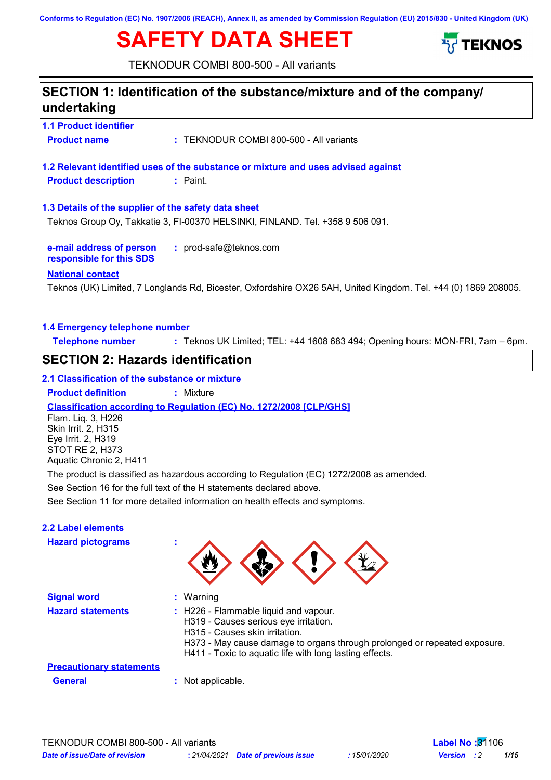**Conforms to Regulation (EC) No. 1907/2006 (REACH), Annex II, as amended by Commission Regulation (EU) 2015/830 - United Kingdom (UK)**

# **SAFETY DATA SHEET**



TEKNODUR COMBI 800-500 - All variants

### **SECTION 1: Identification of the substance/mixture and of the company/ undertaking**

**1.1 Product identifier Product name :** TEKNODUR COMBI 800-500 - All variants

**1.2 Relevant identified uses of the substance or mixture and uses advised against Product description :** Paint.

**1.3 Details of the supplier of the safety data sheet**

Teknos Group Oy, Takkatie 3, FI-00370 HELSINKI, FINLAND. Tel. +358 9 506 091.

**e-mail address of person responsible for this SDS :** prod-safe@teknos.com

#### **National contact**

Teknos (UK) Limited, 7 Longlands Rd, Bicester, Oxfordshire OX26 5AH, United Kingdom. Tel. +44 (0) 1869 208005.

#### **1.4 Emergency telephone number**

**Telephone number :** Teknos UK Limited; TEL: +44 1608 683 494; Opening hours: MON-FRI, 7am – 6pm.

### **SECTION 2: Hazards identification**

#### **2.1 Classification of the substance or mixture**

**Product definition :** Mixture

**Classification according to Regulation (EC) No. 1272/2008 [CLP/GHS]**

Flam. Liq. 3, H226 Skin Irrit. 2, H315 Eye Irrit. 2, H319 STOT RE 2, H373 Aquatic Chronic 2, H411

The product is classified as hazardous according to Regulation (EC) 1272/2008 as amended.

See Section 16 for the full text of the H statements declared above.

See Section 11 for more detailed information on health effects and symptoms.

#### **2.2 Label elements**

**Hazard pictograms :**

| $\mathbf{w}$ | <b>A</b> | r<br>$\mathcal{L}$<br>$\mathcal{L}$ | $\sim$ |
|--------------|----------|-------------------------------------|--------|
|              |          |                                     |        |

| <b>Signal word</b>              | $:$ Warning                                                                                                                                                                                                                                              |
|---------------------------------|----------------------------------------------------------------------------------------------------------------------------------------------------------------------------------------------------------------------------------------------------------|
| <b>Hazard statements</b>        | : H226 - Flammable liquid and vapour.<br>H319 - Causes serious eye irritation.<br>H315 - Causes skin irritation.<br>H373 - May cause damage to organs through prolonged or repeated exposure.<br>H411 - Toxic to aquatic life with long lasting effects. |
| <b>Precautionary statements</b> |                                                                                                                                                                                                                                                          |
| <b>General</b>                  | : Not applicable.                                                                                                                                                                                                                                        |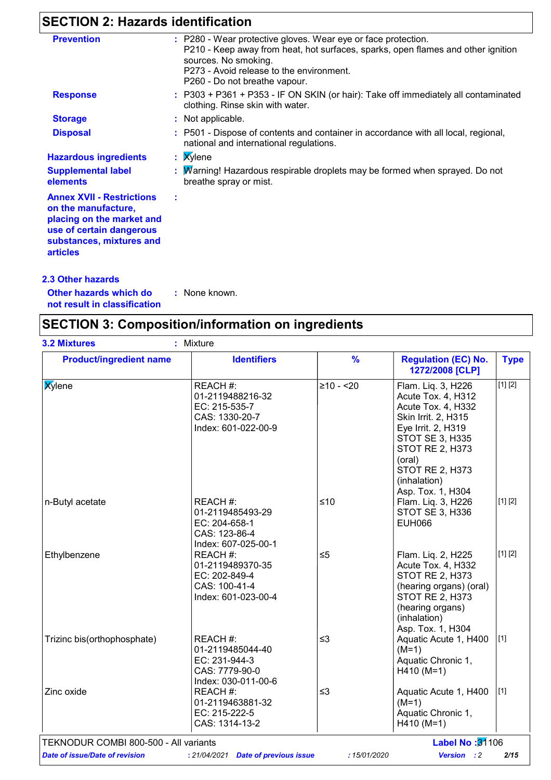## **SECTION 2: Hazards identification**

| <b>Prevention</b>                                                                                                                                               | : P280 - Wear protective gloves. Wear eye or face protection.<br>P210 - Keep away from heat, hot surfaces, sparks, open flames and other ignition<br>sources. No smoking. |
|-----------------------------------------------------------------------------------------------------------------------------------------------------------------|---------------------------------------------------------------------------------------------------------------------------------------------------------------------------|
|                                                                                                                                                                 | P273 - Avoid release to the environment.<br>P260 - Do not breathe vapour.                                                                                                 |
| <b>Response</b>                                                                                                                                                 | : P303 + P361 + P353 - IF ON SKIN (or hair): Take off immediately all contaminated<br>clothing. Rinse skin with water.                                                    |
| <b>Storage</b>                                                                                                                                                  | : Not applicable.                                                                                                                                                         |
| <b>Disposal</b>                                                                                                                                                 | : P501 - Dispose of contents and container in accordance with all local, regional,<br>national and international regulations.                                             |
| <b>Hazardous ingredients</b>                                                                                                                                    | $:$ <b>X</b> ylene                                                                                                                                                        |
| <b>Supplemental label</b><br>elements                                                                                                                           | : Marning! Hazardous respirable droplets may be formed when sprayed. Do not<br>breathe spray or mist.                                                                     |
| <b>Annex XVII - Restrictions</b><br>on the manufacture,<br>placing on the market and<br>use of certain dangerous<br>substances, mixtures and<br><b>articles</b> |                                                                                                                                                                           |

**Other hazards which do : not result in classification** : None known.

## **SECTION 3: Composition/information on ingredients**

|                             |                                                                                        |            | <b>Regulation (EC) No.</b><br>1272/2008 [CLP]                                                                                                                                                                                     | <b>Type</b> |
|-----------------------------|----------------------------------------------------------------------------------------|------------|-----------------------------------------------------------------------------------------------------------------------------------------------------------------------------------------------------------------------------------|-------------|
| <b>X</b> ylene              | REACH #:<br>01-2119488216-32<br>EC: 215-535-7<br>CAS: 1330-20-7<br>Index: 601-022-00-9 | $≥10 - 20$ | Flam. Liq. 3, H226<br>Acute Tox. 4, H312<br>Acute Tox. 4, H332<br>Skin Irrit. 2, H315<br>Eye Irrit. 2, H319<br>STOT SE 3, H335<br><b>STOT RE 2, H373</b><br>(oral)<br><b>STOT RE 2, H373</b><br>(inhalation)<br>Asp. Tox. 1, H304 | [1] [2]     |
| n-Butyl acetate             | REACH #:<br>01-2119485493-29<br>EC: 204-658-1<br>CAS: 123-86-4<br>Index: 607-025-00-1  | ≤10        | Flam. Liq. 3, H226<br>STOT SE 3, H336<br><b>EUH066</b>                                                                                                                                                                            | [1] [2]     |
| Ethylbenzene                | REACH #:<br>01-2119489370-35<br>EC: 202-849-4<br>CAS: 100-41-4<br>Index: 601-023-00-4  | $\leq 5$   | Flam. Lig. 2, H225<br>Acute Tox. 4, H332<br><b>STOT RE 2, H373</b><br>(hearing organs) (oral)<br>STOT RE 2, H373<br>(hearing organs)<br>(inhalation)<br>Asp. Tox. 1, H304                                                         | [1] [2]     |
| Trizinc bis(orthophosphate) | REACH #:<br>01-2119485044-40<br>EC: 231-944-3<br>CAS: 7779-90-0<br>Index: 030-011-00-6 | $\leq$ 3   | Aquatic Acute 1, H400<br>$(M=1)$<br>Aquatic Chronic 1,<br>$H410 (M=1)$                                                                                                                                                            | $[1]$       |
| Zinc oxide                  | REACH #:<br>01-2119463881-32<br>EC: 215-222-5<br>CAS: 1314-13-2                        | $\leq$ 3   | Aquatic Acute 1, H400<br>$(M=1)$<br>Aquatic Chronic 1,<br>$H410 (M=1)$                                                                                                                                                            | $[1]$       |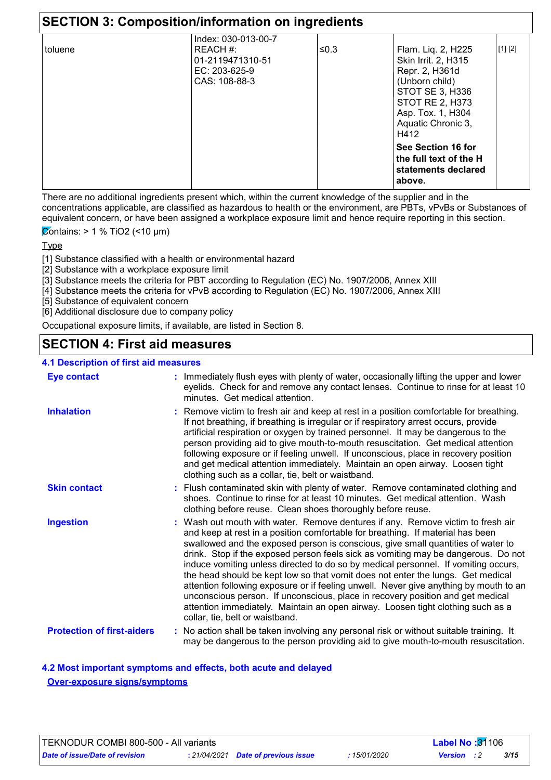|         | Index: 030-013-00-7                                             |      |                                                                                                                                                                        |         |
|---------|-----------------------------------------------------------------|------|------------------------------------------------------------------------------------------------------------------------------------------------------------------------|---------|
| toluene | REACH #:<br> 01-2119471310-51<br>EC: 203-625-9<br>CAS: 108-88-3 | ≤0.3 | Flam. Lig. 2, H225<br>Skin Irrit. 2, H315<br>Repr. 2, H361d<br>(Unborn child)<br>STOT SE 3, H336<br>STOT RE 2, H373<br>Asp. Tox. 1, H304<br>Aquatic Chronic 3,<br>H412 | [1] [2] |
|         |                                                                 |      | See Section 16 for<br>the full text of the H<br>statements declared<br>above.                                                                                          |         |

There are no additional ingredients present which, within the current knowledge of the supplier and in the concentrations applicable, are classified as hazardous to health or the environment, are PBTs, vPvBs or Substances of equivalent concern, or have been assigned a workplace exposure limit and hence require reporting in this section.

 $\overline{\mathcal{Q}}$ ontains: > 1 % TiO2 (<10 µm)

Type

[1] Substance classified with a health or environmental hazard

- [2] Substance with a workplace exposure limit
- [3] Substance meets the criteria for PBT according to Regulation (EC) No. 1907/2006, Annex XIII
- [4] Substance meets the criteria for vPvB according to Regulation (EC) No. 1907/2006, Annex XIII
- [5] Substance of equivalent concern
- [6] Additional disclosure due to company policy

Occupational exposure limits, if available, are listed in Section 8.

### **SECTION 4: First aid measures**

#### **4.1 Description of first aid measures**

| <b>Eye contact</b>                | : Immediately flush eyes with plenty of water, occasionally lifting the upper and lower<br>eyelids. Check for and remove any contact lenses. Continue to rinse for at least 10<br>minutes. Get medical attention.                                                                                                                                                                                                                                                                                                                                                                                                                                                                                                                                                                                                    |
|-----------------------------------|----------------------------------------------------------------------------------------------------------------------------------------------------------------------------------------------------------------------------------------------------------------------------------------------------------------------------------------------------------------------------------------------------------------------------------------------------------------------------------------------------------------------------------------------------------------------------------------------------------------------------------------------------------------------------------------------------------------------------------------------------------------------------------------------------------------------|
| <b>Inhalation</b>                 | Remove victim to fresh air and keep at rest in a position comfortable for breathing.<br>If not breathing, if breathing is irregular or if respiratory arrest occurs, provide<br>artificial respiration or oxygen by trained personnel. It may be dangerous to the<br>person providing aid to give mouth-to-mouth resuscitation. Get medical attention<br>following exposure or if feeling unwell. If unconscious, place in recovery position<br>and get medical attention immediately. Maintain an open airway. Loosen tight<br>clothing such as a collar, tie, belt or waistband.                                                                                                                                                                                                                                   |
| <b>Skin contact</b>               | : Flush contaminated skin with plenty of water. Remove contaminated clothing and<br>shoes. Continue to rinse for at least 10 minutes. Get medical attention. Wash<br>clothing before reuse. Clean shoes thoroughly before reuse.                                                                                                                                                                                                                                                                                                                                                                                                                                                                                                                                                                                     |
| <b>Ingestion</b>                  | : Wash out mouth with water. Remove dentures if any. Remove victim to fresh air<br>and keep at rest in a position comfortable for breathing. If material has been<br>swallowed and the exposed person is conscious, give small quantities of water to<br>drink. Stop if the exposed person feels sick as vomiting may be dangerous. Do not<br>induce vomiting unless directed to do so by medical personnel. If vomiting occurs,<br>the head should be kept low so that vomit does not enter the lungs. Get medical<br>attention following exposure or if feeling unwell. Never give anything by mouth to an<br>unconscious person. If unconscious, place in recovery position and get medical<br>attention immediately. Maintain an open airway. Loosen tight clothing such as a<br>collar, tie, belt or waistband. |
| <b>Protection of first-aiders</b> | : No action shall be taken involving any personal risk or without suitable training. It<br>may be dangerous to the person providing aid to give mouth-to-mouth resuscitation.                                                                                                                                                                                                                                                                                                                                                                                                                                                                                                                                                                                                                                        |

**4.2 Most important symptoms and effects, both acute and delayed Over-exposure signs/symptoms**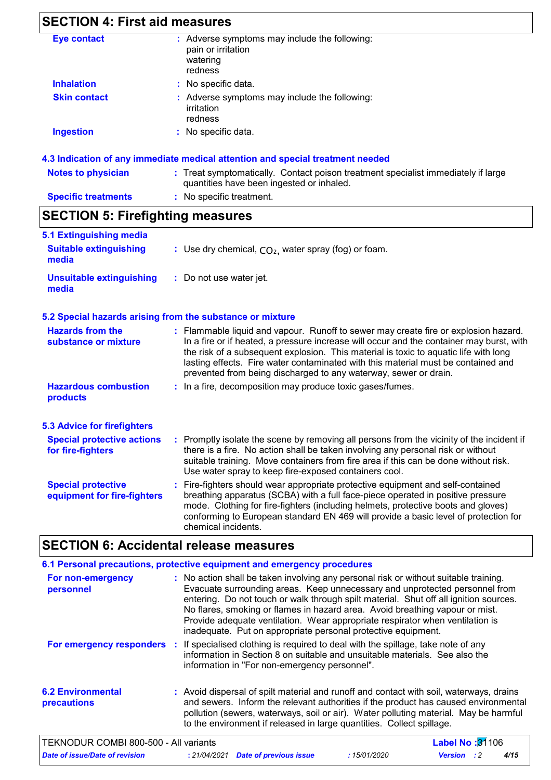## **SECTION 4: First aid measures**

| Eye contact         | : Adverse symptoms may include the following:                          |
|---------------------|------------------------------------------------------------------------|
|                     | pain or irritation<br>watering                                         |
|                     | redness                                                                |
| <b>Inhalation</b>   | : No specific data.                                                    |
| <b>Skin contact</b> | : Adverse symptoms may include the following:<br>irritation<br>redness |
| <b>Ingestion</b>    | : No specific data.                                                    |
|                     |                                                                        |

#### **4.3 Indication of any immediate medical attention and special treatment needed**

| <b>Notes to physician</b>  | : Treat symptomatically. Contact poison treatment specialist immediately if large<br>quantities have been ingested or inhaled. |
|----------------------------|--------------------------------------------------------------------------------------------------------------------------------|
| <b>Specific treatments</b> | : No specific treatment.                                                                                                       |

## **SECTION 5: Firefighting measures**

| 5.1 Extinguishing media                                                                          |                                                                                                                                                                                                                                                                                                                                                                                                                                  |
|--------------------------------------------------------------------------------------------------|----------------------------------------------------------------------------------------------------------------------------------------------------------------------------------------------------------------------------------------------------------------------------------------------------------------------------------------------------------------------------------------------------------------------------------|
| <b>Suitable extinguishing</b><br>: Use dry chemical, $CO2$ , water spray (fog) or foam.<br>media |                                                                                                                                                                                                                                                                                                                                                                                                                                  |
| <b>Unsuitable extinguishing</b><br>media                                                         | : Do not use water jet.                                                                                                                                                                                                                                                                                                                                                                                                          |
|                                                                                                  | 5.2 Special hazards arising from the substance or mixture                                                                                                                                                                                                                                                                                                                                                                        |
| <b>Hazards from the</b><br>substance or mixture                                                  | : Flammable liquid and vapour. Runoff to sewer may create fire or explosion hazard.<br>In a fire or if heated, a pressure increase will occur and the container may burst, with<br>the risk of a subsequent explosion. This material is toxic to aquatic life with long<br>lasting effects. Fire water contaminated with this material must be contained and<br>prevented from being discharged to any waterway, sewer or drain. |
| <b>Hazardous combustion</b><br>products                                                          | : In a fire, decomposition may produce toxic gases/fumes.                                                                                                                                                                                                                                                                                                                                                                        |
| <b>5.3 Advice for firefighters</b>                                                               |                                                                                                                                                                                                                                                                                                                                                                                                                                  |
| <b>Special protective actions</b><br>for fire-fighters                                           | : Promptly isolate the scene by removing all persons from the vicinity of the incident if<br>there is a fire. No action shall be taken involving any personal risk or without<br>suitable training. Move containers from fire area if this can be done without risk.<br>Use water spray to keep fire-exposed containers cool.                                                                                                    |
| <b>Special protective</b><br>equipment for fire-fighters                                         | : Fire-fighters should wear appropriate protective equipment and self-contained<br>breathing apparatus (SCBA) with a full face-piece operated in positive pressure<br>mode. Clothing for fire-fighters (including helmets, protective boots and gloves)<br>conforming to European standard EN 469 will provide a basic level of protection for<br>chemical incidents.                                                            |

## **SECTION 6: Accidental release measures**

|                                                | 6.1 Personal precautions, protective equipment and emergency procedures                                                                                                                                                                                                                                                                                                                                                                                                                        |
|------------------------------------------------|------------------------------------------------------------------------------------------------------------------------------------------------------------------------------------------------------------------------------------------------------------------------------------------------------------------------------------------------------------------------------------------------------------------------------------------------------------------------------------------------|
| For non-emergency<br>personnel                 | : No action shall be taken involving any personal risk or without suitable training.<br>Evacuate surrounding areas. Keep unnecessary and unprotected personnel from<br>entering. Do not touch or walk through spilt material. Shut off all ignition sources.<br>No flares, smoking or flames in hazard area. Avoid breathing vapour or mist.<br>Provide adequate ventilation. Wear appropriate respirator when ventilation is<br>inadequate. Put on appropriate personal protective equipment. |
|                                                | For emergency responders : If specialised clothing is required to deal with the spillage, take note of any<br>information in Section 8 on suitable and unsuitable materials. See also the<br>information in "For non-emergency personnel".                                                                                                                                                                                                                                                     |
| <b>6.2 Environmental</b><br><b>precautions</b> | : Avoid dispersal of spilt material and runoff and contact with soil, waterways, drains<br>and sewers. Inform the relevant authorities if the product has caused environmental<br>pollution (sewers, waterways, soil or air). Water polluting material. May be harmful<br>to the environment if released in large quantities. Collect spillage.                                                                                                                                                |

| TEKNODUR COMBI 800-500 - All variants |  |                                            |              | <b>Label No:</b> $31106$ |  |      |  |
|---------------------------------------|--|--------------------------------------------|--------------|--------------------------|--|------|--|
| Date of issue/Date of revision        |  | : 21/04/2021 <b>Date of previous issue</b> | : 15/01/2020 | Version                  |  | 4/15 |  |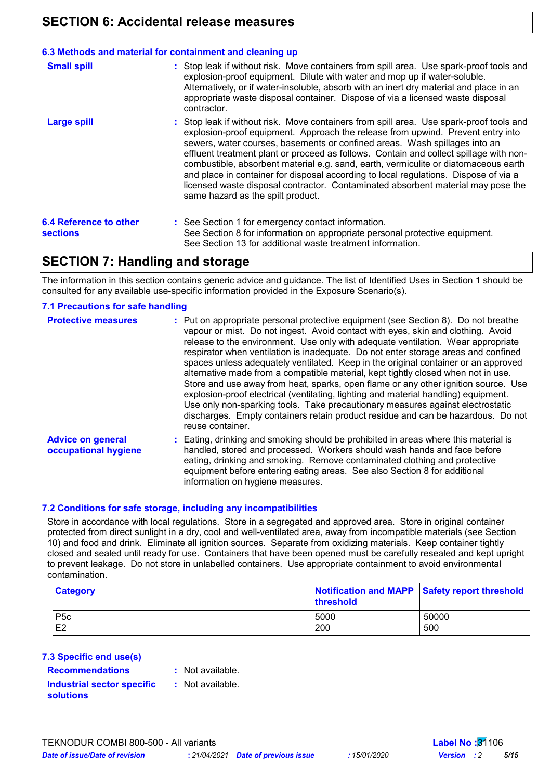### **SECTION 6: Accidental release measures**

#### **6.3 Methods and material for containment and cleaning up**

| <b>Small spill</b>                               | : Stop leak if without risk. Move containers from spill area. Use spark-proof tools and<br>explosion-proof equipment. Dilute with water and mop up if water-soluble.<br>Alternatively, or if water-insoluble, absorb with an inert dry material and place in an<br>appropriate waste disposal container. Dispose of via a licensed waste disposal<br>contractor.                                                                                                                                                                                                                                                                                           |
|--------------------------------------------------|------------------------------------------------------------------------------------------------------------------------------------------------------------------------------------------------------------------------------------------------------------------------------------------------------------------------------------------------------------------------------------------------------------------------------------------------------------------------------------------------------------------------------------------------------------------------------------------------------------------------------------------------------------|
| <b>Large spill</b>                               | : Stop leak if without risk. Move containers from spill area. Use spark-proof tools and<br>explosion-proof equipment. Approach the release from upwind. Prevent entry into<br>sewers, water courses, basements or confined areas. Wash spillages into an<br>effluent treatment plant or proceed as follows. Contain and collect spillage with non-<br>combustible, absorbent material e.g. sand, earth, vermiculite or diatomaceous earth<br>and place in container for disposal according to local regulations. Dispose of via a<br>licensed waste disposal contractor. Contaminated absorbent material may pose the<br>same hazard as the spilt product. |
| <b>6.4 Reference to other</b><br><b>sections</b> | : See Section 1 for emergency contact information.<br>See Section 8 for information on appropriate personal protective equipment.<br>See Section 13 for additional waste treatment information.                                                                                                                                                                                                                                                                                                                                                                                                                                                            |

### **SECTION 7: Handling and storage**

The information in this section contains generic advice and guidance. The list of Identified Uses in Section 1 should be consulted for any available use-specific information provided in the Exposure Scenario(s).

#### **7.1 Precautions for safe handling**

| <b>Protective measures</b>                       | : Put on appropriate personal protective equipment (see Section 8). Do not breathe<br>vapour or mist. Do not ingest. Avoid contact with eyes, skin and clothing. Avoid<br>release to the environment. Use only with adequate ventilation. Wear appropriate<br>respirator when ventilation is inadequate. Do not enter storage areas and confined<br>spaces unless adequately ventilated. Keep in the original container or an approved<br>alternative made from a compatible material, kept tightly closed when not in use.<br>Store and use away from heat, sparks, open flame or any other ignition source. Use<br>explosion-proof electrical (ventilating, lighting and material handling) equipment.<br>Use only non-sparking tools. Take precautionary measures against electrostatic<br>discharges. Empty containers retain product residue and can be hazardous. Do not<br>reuse container. |
|--------------------------------------------------|----------------------------------------------------------------------------------------------------------------------------------------------------------------------------------------------------------------------------------------------------------------------------------------------------------------------------------------------------------------------------------------------------------------------------------------------------------------------------------------------------------------------------------------------------------------------------------------------------------------------------------------------------------------------------------------------------------------------------------------------------------------------------------------------------------------------------------------------------------------------------------------------------|
| <b>Advice on general</b><br>occupational hygiene | : Eating, drinking and smoking should be prohibited in areas where this material is<br>handled, stored and processed. Workers should wash hands and face before<br>eating, drinking and smoking. Remove contaminated clothing and protective<br>equipment before entering eating areas. See also Section 8 for additional<br>information on hygiene measures.                                                                                                                                                                                                                                                                                                                                                                                                                                                                                                                                      |

#### **7.2 Conditions for safe storage, including any incompatibilities**

Store in accordance with local regulations. Store in a segregated and approved area. Store in original container protected from direct sunlight in a dry, cool and well-ventilated area, away from incompatible materials (see Section 10) and food and drink. Eliminate all ignition sources. Separate from oxidizing materials. Keep container tightly closed and sealed until ready for use. Containers that have been opened must be carefully resealed and kept upright to prevent leakage. Do not store in unlabelled containers. Use appropriate containment to avoid environmental contamination.

| <b>Category</b> | Notification and MAPP Safety report threshold<br>threshold |       |  |
|-----------------|------------------------------------------------------------|-------|--|
| P5c             | 5000                                                       | 50000 |  |
| E <sub>2</sub>  | 200                                                        | 500   |  |

#### **7.3 Specific end use(s)**

**Recommendations :**

: Not available.

**Industrial sector specific : solutions**

: Not available.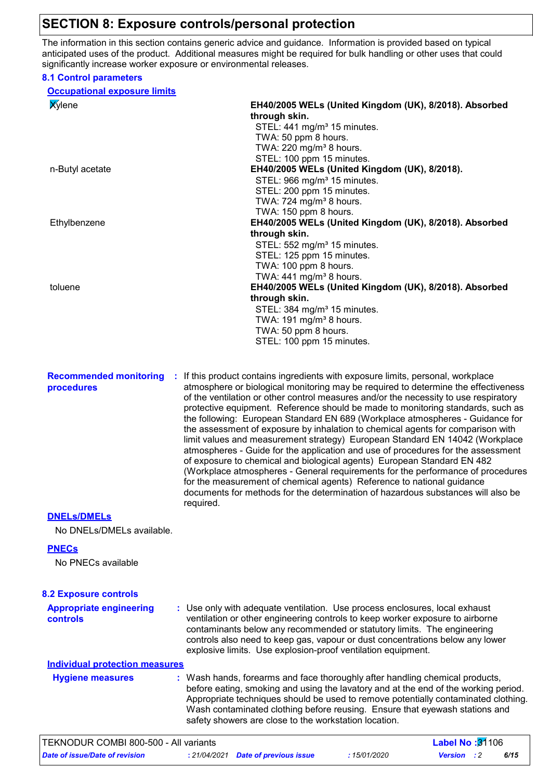### **SECTION 8: Exposure controls/personal protection**

The information in this section contains generic advice and guidance. Information is provided based on typical anticipated uses of the product. Additional measures might be required for bulk handling or other uses that could significantly increase worker exposure or environmental releases.

#### **8.1 Control parameters**

| <b>Occupational exposure limits</b>   |                                                                                                                                                                     |
|---------------------------------------|---------------------------------------------------------------------------------------------------------------------------------------------------------------------|
| <b>Xylene</b>                         | EH40/2005 WELs (United Kingdom (UK), 8/2018). Absorbed                                                                                                              |
|                                       | through skin.                                                                                                                                                       |
|                                       | STEL: 441 mg/m <sup>3</sup> 15 minutes.                                                                                                                             |
|                                       | TWA: 50 ppm 8 hours.                                                                                                                                                |
|                                       | TWA: 220 mg/m <sup>3</sup> 8 hours.<br>STEL: 100 ppm 15 minutes.                                                                                                    |
| n-Butyl acetate                       | EH40/2005 WELs (United Kingdom (UK), 8/2018).                                                                                                                       |
|                                       | STEL: 966 mg/m <sup>3</sup> 15 minutes.                                                                                                                             |
|                                       | STEL: 200 ppm 15 minutes.                                                                                                                                           |
|                                       | TWA: 724 mg/m <sup>3</sup> 8 hours.                                                                                                                                 |
|                                       | TWA: 150 ppm 8 hours.                                                                                                                                               |
| Ethylbenzene                          | EH40/2005 WELs (United Kingdom (UK), 8/2018). Absorbed                                                                                                              |
|                                       | through skin.                                                                                                                                                       |
|                                       | STEL: 552 mg/m <sup>3</sup> 15 minutes.                                                                                                                             |
|                                       | STEL: 125 ppm 15 minutes.                                                                                                                                           |
|                                       | TWA: 100 ppm 8 hours.                                                                                                                                               |
| toluene                               | TWA: $441$ mg/m <sup>3</sup> 8 hours.<br>EH40/2005 WELs (United Kingdom (UK), 8/2018). Absorbed                                                                     |
|                                       | through skin.                                                                                                                                                       |
|                                       | STEL: 384 mg/m <sup>3</sup> 15 minutes.                                                                                                                             |
|                                       | TWA: 191 mg/m <sup>3</sup> 8 hours.                                                                                                                                 |
|                                       | TWA: 50 ppm 8 hours.                                                                                                                                                |
|                                       | STEL: 100 ppm 15 minutes.                                                                                                                                           |
|                                       |                                                                                                                                                                     |
|                                       |                                                                                                                                                                     |
| <b>Recommended monitoring</b><br>÷.   | If this product contains ingredients with exposure limits, personal, workplace                                                                                      |
| procedures                            | atmosphere or biological monitoring may be required to determine the effectiveness                                                                                  |
|                                       | of the ventilation or other control measures and/or the necessity to use respiratory                                                                                |
|                                       | protective equipment. Reference should be made to monitoring standards, such as                                                                                     |
|                                       | the following: European Standard EN 689 (Workplace atmospheres - Guidance for<br>the assessment of exposure by inhalation to chemical agents for comparison with    |
|                                       | limit values and measurement strategy) European Standard EN 14042 (Workplace                                                                                        |
|                                       | atmospheres - Guide for the application and use of procedures for the assessment                                                                                    |
|                                       | of exposure to chemical and biological agents) European Standard EN 482                                                                                             |
|                                       | (Workplace atmospheres - General requirements for the performance of procedures                                                                                     |
|                                       | for the measurement of chemical agents) Reference to national guidance                                                                                              |
|                                       | documents for methods for the determination of hazardous substances will also be                                                                                    |
|                                       | required.                                                                                                                                                           |
| <b>DNELS/DMELS</b>                    |                                                                                                                                                                     |
| No DNELs/DMELs available.             |                                                                                                                                                                     |
|                                       |                                                                                                                                                                     |
| <b>PNECs</b>                          |                                                                                                                                                                     |
| No PNECs available                    |                                                                                                                                                                     |
|                                       |                                                                                                                                                                     |
| <b>8.2 Exposure controls</b>          |                                                                                                                                                                     |
|                                       |                                                                                                                                                                     |
| <b>Appropriate engineering</b>        | : Use only with adequate ventilation. Use process enclosures, local exhaust                                                                                         |
| controls                              | ventilation or other engineering controls to keep worker exposure to airborne<br>contaminants below any recommended or statutory limits. The engineering            |
|                                       | controls also need to keep gas, vapour or dust concentrations below any lower                                                                                       |
|                                       | explosive limits. Use explosion-proof ventilation equipment.                                                                                                        |
| <b>Individual protection measures</b> |                                                                                                                                                                     |
|                                       |                                                                                                                                                                     |
| <b>Hygiene measures</b>               | : Wash hands, forearms and face thoroughly after handling chemical products,<br>before eating, smoking and using the lavatory and at the end of the working period. |
|                                       | Appropriate techniques should be used to remove potentially contaminated clothing.                                                                                  |
|                                       | Wash contaminated clothing before reusing. Ensure that eyewash stations and                                                                                         |
|                                       | safety showers are close to the workstation location.                                                                                                               |
|                                       |                                                                                                                                                                     |

| TEKNODUR COMBI 800-500 - All variants |  |                                     | <b>Label No: <math>31106</math></b> |                    |  |      |  |
|---------------------------------------|--|-------------------------------------|-------------------------------------|--------------------|--|------|--|
| Date of issue/Date of revision        |  | : 21/04/2021 Date of previous issue | : 15/01/2020                        | <b>Version</b> : 2 |  | 6/15 |  |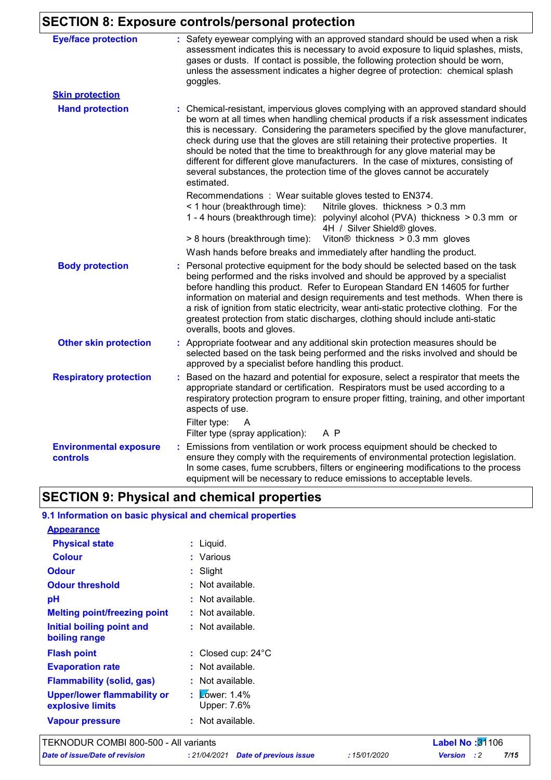## **SECTION 8: Exposure controls/personal protection**

| <b>Eye/face protection</b>                | : Safety eyewear complying with an approved standard should be used when a risk<br>assessment indicates this is necessary to avoid exposure to liquid splashes, mists,<br>gases or dusts. If contact is possible, the following protection should be worn,<br>unless the assessment indicates a higher degree of protection: chemical splash<br>goggles.                                                                                                                                                                                                                                                                  |
|-------------------------------------------|---------------------------------------------------------------------------------------------------------------------------------------------------------------------------------------------------------------------------------------------------------------------------------------------------------------------------------------------------------------------------------------------------------------------------------------------------------------------------------------------------------------------------------------------------------------------------------------------------------------------------|
| <b>Skin protection</b>                    |                                                                                                                                                                                                                                                                                                                                                                                                                                                                                                                                                                                                                           |
| <b>Hand protection</b>                    | : Chemical-resistant, impervious gloves complying with an approved standard should<br>be worn at all times when handling chemical products if a risk assessment indicates<br>this is necessary. Considering the parameters specified by the glove manufacturer,<br>check during use that the gloves are still retaining their protective properties. It<br>should be noted that the time to breakthrough for any glove material may be<br>different for different glove manufacturers. In the case of mixtures, consisting of<br>several substances, the protection time of the gloves cannot be accurately<br>estimated. |
|                                           | Recommendations : Wear suitable gloves tested to EN374.<br>< 1 hour (breakthrough time):<br>Nitrile gloves. thickness > 0.3 mm<br>1 - 4 hours (breakthrough time): polyvinyl alcohol (PVA) thickness > 0.3 mm or<br>4H / Silver Shield® gloves.<br>Viton $@$ thickness $> 0.3$ mm gloves<br>> 8 hours (breakthrough time):                                                                                                                                                                                                                                                                                                |
|                                           | Wash hands before breaks and immediately after handling the product.                                                                                                                                                                                                                                                                                                                                                                                                                                                                                                                                                      |
| <b>Body protection</b>                    | Personal protective equipment for the body should be selected based on the task<br>being performed and the risks involved and should be approved by a specialist<br>before handling this product. Refer to European Standard EN 14605 for further<br>information on material and design requirements and test methods. When there is<br>a risk of ignition from static electricity, wear anti-static protective clothing. For the<br>greatest protection from static discharges, clothing should include anti-static<br>overalls, boots and gloves.                                                                       |
| <b>Other skin protection</b>              | : Appropriate footwear and any additional skin protection measures should be<br>selected based on the task being performed and the risks involved and should be<br>approved by a specialist before handling this product.                                                                                                                                                                                                                                                                                                                                                                                                 |
| <b>Respiratory protection</b>             | : Based on the hazard and potential for exposure, select a respirator that meets the<br>appropriate standard or certification. Respirators must be used according to a<br>respiratory protection program to ensure proper fitting, training, and other important<br>aspects of use.                                                                                                                                                                                                                                                                                                                                       |
|                                           | Filter type:<br>A<br>A P<br>Filter type (spray application):                                                                                                                                                                                                                                                                                                                                                                                                                                                                                                                                                              |
| <b>Environmental exposure</b><br>controls | Emissions from ventilation or work process equipment should be checked to<br>ensure they comply with the requirements of environmental protection legislation.<br>In some cases, fume scrubbers, filters or engineering modifications to the process<br>equipment will be necessary to reduce emissions to acceptable levels.                                                                                                                                                                                                                                                                                             |

## **SECTION 9: Physical and chemical properties**

### **9.1 Information on basic physical and chemical properties**

| <b>Appearance</b>                                      |                                     |
|--------------------------------------------------------|-------------------------------------|
| <b>Physical state</b>                                  | Liquid.                             |
| <b>Colour</b>                                          | Various                             |
| <b>Odour</b>                                           | Slight                              |
| <b>Odour threshold</b>                                 | Not available.                      |
| рH                                                     | Not available.                      |
| <b>Melting point/freezing point</b>                    | : Not available.                    |
| Initial boiling point and<br>boiling range             | : Not available.                    |
| <b>Flash point</b>                                     | Closed cup: 24°C                    |
| <b>Evaporation rate</b>                                | Not available.                      |
| <b>Flammability (solid, gas)</b>                       | Not available.                      |
| <b>Upper/lower flammability or</b><br>explosive limits | Lower: $1.4\%$<br>÷.<br>Upper: 7.6% |
| <b>Vapour pressure</b>                                 | : Not available.                    |

*Date of issue/Date of revision* **:** *21/04/2021 Date of previous issue : 15/01/2020 Version : 2 7/15*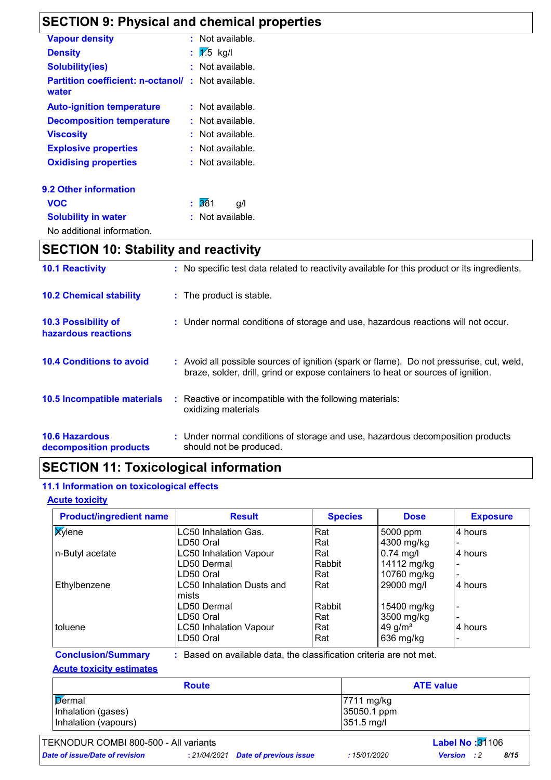## **SECTION 9: Physical and chemical properties**

| <b>Vapour density</b>                             |    | : Not available.   |
|---------------------------------------------------|----|--------------------|
| <b>Density</b>                                    | t. | $\sqrt{1.5}$ kg/l  |
| <b>Solubility(ies)</b>                            |    | Not available.     |
| <b>Partition coefficient: n-octanol/</b><br>water |    | $:$ Not available. |
| <b>Auto-ignition temperature</b>                  |    | : Not available.   |
| <b>Decomposition temperature</b>                  |    | : Not available.   |
| <b>Viscosity</b>                                  |    | : Not available.   |
| <b>Explosive properties</b>                       |    | : Not available.   |
| <b>Oxidising properties</b>                       |    | : Not available.   |
| <b>9.2 Other information</b>                      |    |                    |
| <b>VOC</b>                                        | t. | 381<br>g/l         |
| <b>Solubility in water</b>                        |    | Not available.     |
| No additional information.                        |    |                    |

## **SECTION 10: Stability and reactivity**

| <b>10.1 Reactivity</b>                          | : No specific test data related to reactivity available for this product or its ingredients.                                                                                 |
|-------------------------------------------------|------------------------------------------------------------------------------------------------------------------------------------------------------------------------------|
| <b>10.2 Chemical stability</b>                  | : The product is stable.                                                                                                                                                     |
| 10.3 Possibility of<br>hazardous reactions      | : Under normal conditions of storage and use, hazardous reactions will not occur.                                                                                            |
| <b>10.4 Conditions to avoid</b>                 | : Avoid all possible sources of ignition (spark or flame). Do not pressurise, cut, weld,<br>braze, solder, drill, grind or expose containers to heat or sources of ignition. |
| 10.5 Incompatible materials                     | : Reactive or incompatible with the following materials:<br>oxidizing materials                                                                                              |
| <b>10.6 Hazardous</b><br>decomposition products | : Under normal conditions of storage and use, hazardous decomposition products<br>should not be produced.                                                                    |

## **SECTION 11: Toxicological information**

#### **11.1 Information on toxicological effects**

#### **Acute toxicity**

| <b>Product/ingredient name</b> | <b>Result</b>                             | <b>Species</b> | <b>Dose</b> | <b>Exposure</b> |
|--------------------------------|-------------------------------------------|----------------|-------------|-----------------|
| <b>X</b> ylene                 | LC50 Inhalation Gas.                      | Rat            | 5000 ppm    | 4 hours         |
|                                | LD50 Oral                                 | Rat            | 4300 mg/kg  |                 |
| n-Butyl acetate                | <b>LC50 Inhalation Vapour</b>             | Rat            | $0.74$ mg/l | 4 hours         |
|                                | LD50 Dermal                               | Rabbit         | 14112 mg/kg |                 |
|                                | LD50 Oral                                 | Rat            | 10760 mg/kg |                 |
| Ethylbenzene                   | <b>LC50 Inhalation Dusts and</b><br>mists | Rat            | 29000 mg/l  | 4 hours         |
|                                | LD50 Dermal                               | Rabbit         | 15400 mg/kg |                 |
|                                | LD50 Oral                                 | Rat            | 3500 mg/kg  |                 |
| toluene                        | <b>LC50 Inhalation Vapour</b>             | Rat            | 49 g/ $m3$  | 4 hours         |
|                                | LD50 Oral                                 | Rat            | 636 mg/kg   |                 |

**Conclusion/Summary :** : Based on available data, the classification criteria are not met.

#### **Acute toxicity estimates**

| <b>Route</b>         | <b>ATE value</b>       |
|----------------------|------------------------|
| Dermal               | $ 7711 \text{ mg/kg} $ |
| Inhalation (gases)   | 35050.1 ppm            |
| Inhalation (vapours) | 351.5 mg/l             |

#### TEKNODUR COMBI 800-500 - All variants **Label No :**31106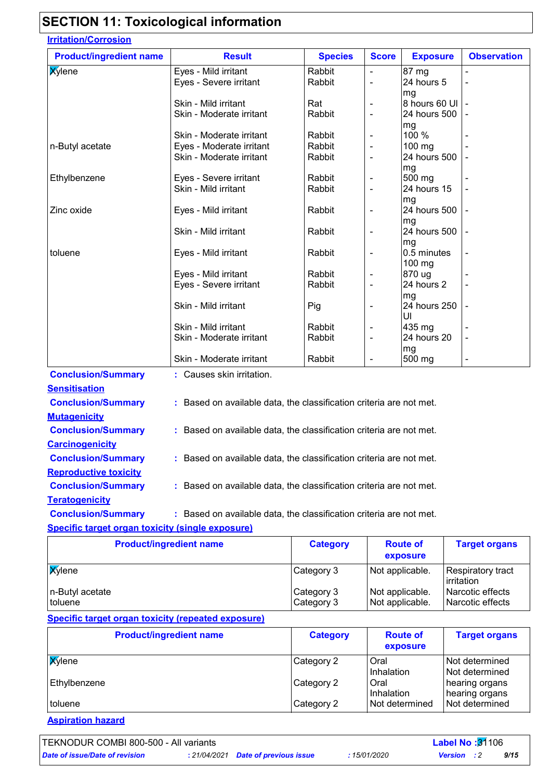## **SECTION 11: Toxicological information**

| <b>Product/ingredient name</b> | <b>Result</b>                                                       | <b>Species</b> | <b>Score</b>                 | <b>Exposure</b> | <b>Observation</b>       |
|--------------------------------|---------------------------------------------------------------------|----------------|------------------------------|-----------------|--------------------------|
| <b>Xylene</b>                  | Eyes - Mild irritant                                                | Rabbit         | $\blacksquare$               | 87 mg           |                          |
|                                | Eyes - Severe irritant                                              | Rabbit         | $\overline{\phantom{a}}$     | 24 hours 5      |                          |
|                                |                                                                     |                |                              | mg              |                          |
|                                | Skin - Mild irritant                                                | Rat            | $\overline{\phantom{a}}$     | 8 hours 60 UI   |                          |
|                                | Skin - Moderate irritant                                            | Rabbit         | $\blacksquare$               | 24 hours 500    |                          |
|                                |                                                                     |                |                              | mg              |                          |
|                                | Skin - Moderate irritant                                            | Rabbit         |                              | 100 %           |                          |
| n-Butyl acetate                | Eyes - Moderate irritant                                            | Rabbit         | $\overline{\phantom{a}}$     | 100 mg          |                          |
|                                | Skin - Moderate irritant                                            | Rabbit         | $\qquad \qquad \blacksquare$ | 24 hours 500    |                          |
|                                |                                                                     |                |                              | mg              |                          |
| Ethylbenzene                   | Eyes - Severe irritant                                              | Rabbit         | $\overline{\phantom{a}}$     | 500 mg          |                          |
|                                | Skin - Mild irritant                                                | Rabbit         | $\blacksquare$               | 24 hours 15     |                          |
|                                |                                                                     |                |                              | mg              |                          |
| Zinc oxide                     | Eyes - Mild irritant                                                | Rabbit         | $\overline{\phantom{a}}$     | 24 hours 500    |                          |
|                                |                                                                     |                |                              | mg              |                          |
|                                | Skin - Mild irritant                                                | Rabbit         | $\overline{\phantom{a}}$     | 24 hours 500    |                          |
|                                |                                                                     |                |                              | mg              |                          |
| toluene                        | Eyes - Mild irritant                                                | Rabbit         | $\overline{\phantom{a}}$     | 0.5 minutes     |                          |
|                                |                                                                     |                |                              | 100 mg          |                          |
|                                | Eyes - Mild irritant                                                | Rabbit         | $\blacksquare$               | 870 ug          |                          |
|                                | Eyes - Severe irritant                                              | Rabbit         | $\blacksquare$               | 24 hours 2      | $\blacksquare$           |
|                                |                                                                     |                |                              | mg              |                          |
|                                | Skin - Mild irritant                                                | Pig            |                              | 24 hours 250    |                          |
|                                |                                                                     |                |                              | UI              |                          |
|                                | Skin - Mild irritant                                                | Rabbit         | $\blacksquare$               | 435 mg          |                          |
|                                | Skin - Moderate irritant                                            | Rabbit         | $\overline{\phantom{0}}$     | 24 hours 20     |                          |
|                                |                                                                     |                |                              | mg              |                          |
|                                | Skin - Moderate irritant                                            | Rabbit         | $\overline{\phantom{a}}$     | 500 mg          | $\overline{\phantom{a}}$ |
| <b>Conclusion/Summary</b>      | : Causes skin irritation.                                           |                |                              |                 |                          |
| <b>Sensitisation</b>           |                                                                     |                |                              |                 |                          |
|                                | : Based on available data, the classification criteria are not met. |                |                              |                 |                          |
| <b>Conclusion/Summary</b>      |                                                                     |                |                              |                 |                          |

| <b>Conclusion/Summary</b>                               | : Based on available data, the classification criteria are not met. |
|---------------------------------------------------------|---------------------------------------------------------------------|
| <b>Mutagenicity</b>                                     |                                                                     |
| <b>Conclusion/Summary</b>                               | : Based on available data, the classification criteria are not met. |
| <b>Carcinogenicity</b>                                  |                                                                     |
| <b>Conclusion/Summary</b>                               | : Based on available data, the classification criteria are not met. |
| <b>Reproductive toxicity</b>                            |                                                                     |
| <b>Conclusion/Summary</b>                               | : Based on available data, the classification criteria are not met. |
| <b>Teratogenicity</b>                                   |                                                                     |
| <b>Conclusion/Summary</b>                               | : Based on available data, the classification criteria are not met. |
| <b>Specific target organ toxicity (single exposure)</b> |                                                                     |

#### **Product/ingredient name and all category Route of exposure Target organs Xylene** Category 3 Not applicable. Respiratory tract irritation n-Butyl acetate <br>  $\begin{array}{ccc}\n\text{Category 3} & \text{Not applicable.} \\
\text{Category 3} & \text{Not applicable.}\n\end{array}$  Narcotic effects Narcotic effects

#### **Specific target organ toxicity (repeated exposure)**

| <b>Product/ingredient name</b> | <b>Category</b> | <b>Route of</b><br>exposure | <b>Target organs</b>               |
|--------------------------------|-----------------|-----------------------------|------------------------------------|
| <b>X</b> ylene                 | Category 2      | Oral<br>Inhalation          | l Not determined<br>Not determined |
| Ethylbenzene                   | Category 2      | Oral<br>Inhalation          | hearing organs<br>hearing organs   |
| toluene                        | Category 2      | Not determined              | Not determined                     |

**Aspiration hazard**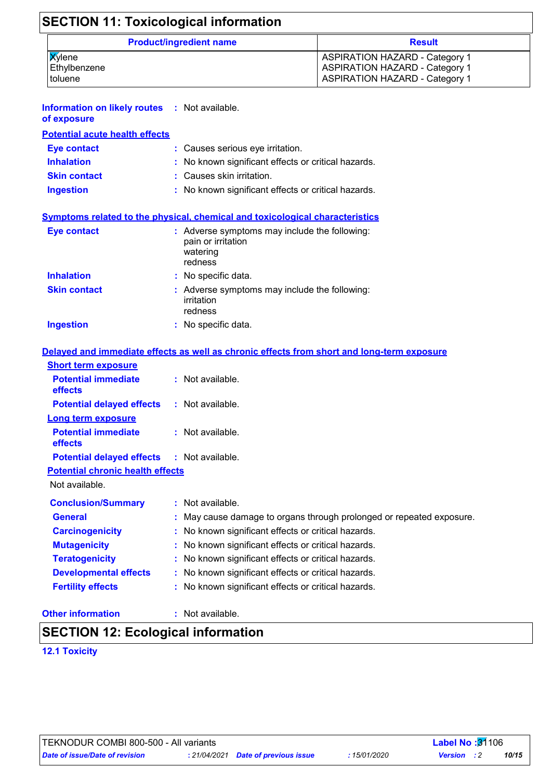| <b>SECTION 11: Toxicological information</b> |                                       |
|----------------------------------------------|---------------------------------------|
| <b>Product/ingredient name</b>               | <b>Result</b>                         |
| <b>Xylene</b>                                | <b>ASPIRATION HAZARD - Category 1</b> |
| Ethylbenzene                                 | <b>ASPIRATION HAZARD - Category 1</b> |
| toluene                                      | <b>ASPIRATION HAZARD - Category 1</b> |

| <b>Information on likely routes : Not available.</b> |  |
|------------------------------------------------------|--|
| of exposure                                          |  |

| <b>Potential acute health effects</b> |                                                     |
|---------------------------------------|-----------------------------------------------------|
| Eye contact                           | : Causes serious eye irritation.                    |
| <b>Inhalation</b>                     | : No known significant effects or critical hazards. |
| <b>Skin contact</b>                   | : Causes skin irritation.                           |
| <b>Ingestion</b>                      | : No known significant effects or critical hazards. |

#### **Symptoms related to the physical, chemical and toxicological characteristics**

| <b>Eye contact</b>  | : Adverse symptoms may include the following:<br>pain or irritation<br>watering<br>redness |
|---------------------|--------------------------------------------------------------------------------------------|
| <b>Inhalation</b>   | : No specific data.                                                                        |
| <b>Skin contact</b> | : Adverse symptoms may include the following:<br>irritation<br>redness                     |
| <b>Ingestion</b>    | : No specific data.                                                                        |

#### **Delayed and immediate effects as well as chronic effects from short and long-term exposure**

| <b>Short term exposure</b>                   |                                                                      |
|----------------------------------------------|----------------------------------------------------------------------|
| <b>Potential immediate</b><br><b>effects</b> | $:$ Not available.                                                   |
| <b>Potential delayed effects</b>             | $:$ Not available.                                                   |
| <b>Long term exposure</b>                    |                                                                      |
| <b>Potential immediate</b><br><b>effects</b> | $:$ Not available.                                                   |
| <b>Potential delayed effects</b>             | : Not available.                                                     |
| <b>Potential chronic health effects</b>      |                                                                      |
| Not available.                               |                                                                      |
| <b>Conclusion/Summary</b>                    | $:$ Not available.                                                   |
| <b>General</b>                               | : May cause damage to organs through prolonged or repeated exposure. |
| <b>Carcinogenicity</b>                       | : No known significant effects or critical hazards.                  |
| <b>Mutagenicity</b>                          | : No known significant effects or critical hazards.                  |
| <b>Teratogenicity</b>                        | : No known significant effects or critical hazards.                  |
| <b>Developmental effects</b>                 | : No known significant effects or critical hazards.                  |
| <b>Fertility effects</b>                     | : No known significant effects or critical hazards.                  |

#### **Other information :**

: Not available.

### **SECTION 12: Ecological information**

#### **12.1 Toxicity**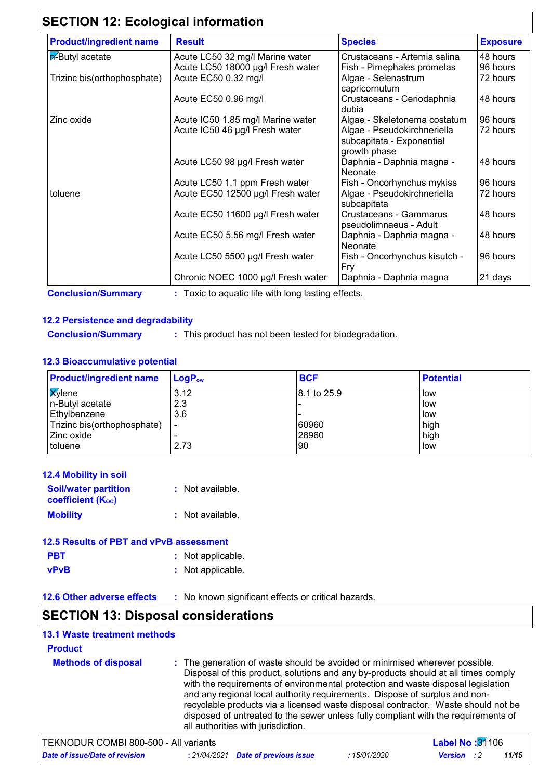## **SECTION 12: Ecological information**

| <b>Product/ingredient name</b> | <b>Result</b>                      | <b>Species</b>                                                           | <b>Exposure</b> |
|--------------------------------|------------------------------------|--------------------------------------------------------------------------|-----------------|
| $\overline{p}$ -Butyl acetate  | Acute LC50 32 mg/l Marine water    | Crustaceans - Artemia salina                                             | 48 hours        |
|                                | Acute LC50 18000 µg/l Fresh water  | Fish - Pimephales promelas                                               | 96 hours        |
| Trizinc bis(orthophosphate)    | Acute EC50 0.32 mg/l               | Algae - Selenastrum<br>capricornutum                                     | 72 hours        |
|                                | Acute EC50 0.96 mg/l               | Crustaceans - Ceriodaphnia<br>dubia                                      | 48 hours        |
| Zinc oxide                     | Acute IC50 1.85 mg/l Marine water  | Algae - Skeletonema costatum                                             | 96 hours        |
|                                | Acute IC50 46 µg/l Fresh water     | Algae - Pseudokirchneriella<br>subcapitata - Exponential<br>growth phase | 72 hours        |
|                                | Acute LC50 98 µg/l Fresh water     | Daphnia - Daphnia magna -<br>Neonate                                     | 48 hours        |
|                                | Acute LC50 1.1 ppm Fresh water     | Fish - Oncorhynchus mykiss                                               | 96 hours        |
| toluene                        | Acute EC50 12500 µg/l Fresh water  | Algae - Pseudokirchneriella<br>subcapitata                               | 72 hours        |
|                                | Acute EC50 11600 µg/l Fresh water  | Crustaceans - Gammarus<br>pseudolimnaeus - Adult                         | 48 hours        |
|                                | Acute EC50 5.56 mg/l Fresh water   | Daphnia - Daphnia magna -<br><b>Neonate</b>                              | 48 hours        |
|                                | Acute LC50 5500 µg/l Fresh water   | Fish - Oncorhynchus kisutch -<br>Fry                                     | 96 hours        |
|                                | Chronic NOEC 1000 µg/l Fresh water | Daphnia - Daphnia magna                                                  | 21 days         |

**Conclusion/Summary :** Toxic to aquatic life with long lasting effects.

#### **12.2 Persistence and degradability**

**Conclusion/Summary :** This product has not been tested for biodegradation.

#### **12.3 Bioaccumulative potential**

| <b>Product/ingredient name</b> | $LoaPow$                 | <b>BCF</b>  | <b>Potential</b> |
|--------------------------------|--------------------------|-------------|------------------|
| <b>X</b> ylene                 | 3.12                     | 8.1 to 25.9 | <b>I</b> low     |
| n-Butyl acetate                | 2.3                      |             | <b>I</b> low     |
| Ethylbenzene                   | 3.6                      |             | low              |
| Trizinc bis(orthophosphate)    | $\overline{\phantom{0}}$ | 60960       | high             |
| <b>Zinc oxide</b>              |                          | 28960       | high             |
| toluene                        | 2.73                     | 90          | low              |

| 12.4 Mobility in soil                                   |                  |
|---------------------------------------------------------|------------------|
| <b>Soil/water partition</b><br><b>coefficient (Koc)</b> | : Not available. |
| <b>Mobility</b>                                         | : Not available. |

| 12.5 Results of PBT and vPvB assessment |                   |  |  |
|-----------------------------------------|-------------------|--|--|
| <b>PBT</b>                              | : Not applicable. |  |  |
| <b>vPvB</b>                             | : Not applicable. |  |  |

**12.6 Other adverse effects** : No known significant effects or critical hazards.

### **SECTION 13: Disposal considerations**

| <b>13.1 Waste treatment methods</b>   |                                    |                                                                                                                                                                                                                                                                                                                                                                                                                                                                                                                |
|---------------------------------------|------------------------------------|----------------------------------------------------------------------------------------------------------------------------------------------------------------------------------------------------------------------------------------------------------------------------------------------------------------------------------------------------------------------------------------------------------------------------------------------------------------------------------------------------------------|
| <b>Product</b>                        |                                    |                                                                                                                                                                                                                                                                                                                                                                                                                                                                                                                |
| <b>Methods of disposal</b>            | all authorities with jurisdiction. | : The generation of waste should be avoided or minimised wherever possible.<br>Disposal of this product, solutions and any by-products should at all times comply<br>with the requirements of environmental protection and waste disposal legislation<br>and any regional local authority requirements. Dispose of surplus and non-<br>recyclable products via a licensed waste disposal contractor. Waste should not be<br>disposed of untreated to the sewer unless fully compliant with the requirements of |
| TEKNODUR COMBI 800-500 - All variants |                                    | Label No: 31106                                                                                                                                                                                                                                                                                                                                                                                                                                                                                                |

| TENNUDUR COMBI 600-300 - AII VAHAILSI |  |                                     |              | <b>Label NO 19</b> 1 100 |       |  |
|---------------------------------------|--|-------------------------------------|--------------|--------------------------|-------|--|
| Date of issue/Date of revision        |  | : 21/04/2021 Date of previous issue | : 15/01/2020 | <b>Version</b> : 2       | 11/15 |  |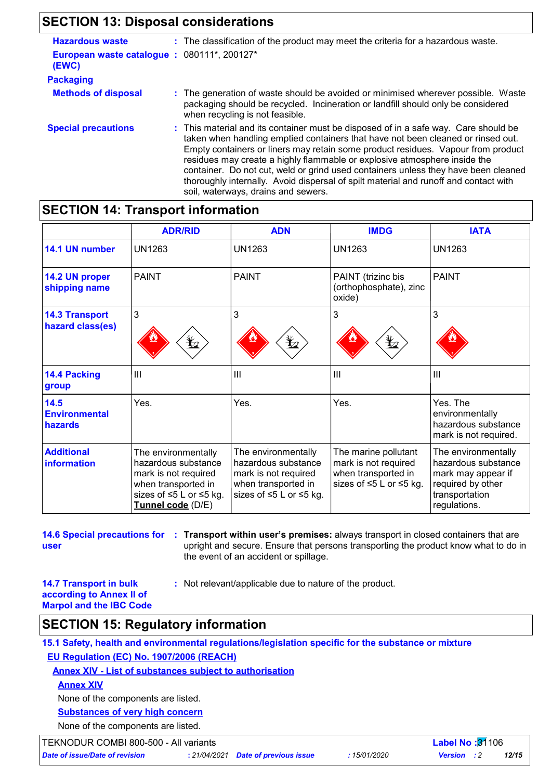## **SECTION 13: Disposal considerations**

| <b>Hazardous waste</b>                              | : The classification of the product may meet the criteria for a hazardous waste.                                                                                                                                                                                                                                                                                                                                                                                                                                                                              |
|-----------------------------------------------------|---------------------------------------------------------------------------------------------------------------------------------------------------------------------------------------------------------------------------------------------------------------------------------------------------------------------------------------------------------------------------------------------------------------------------------------------------------------------------------------------------------------------------------------------------------------|
| European waste catalogue: 080111*, 200127*<br>(EWC) |                                                                                                                                                                                                                                                                                                                                                                                                                                                                                                                                                               |
| <b>Packaging</b>                                    |                                                                                                                                                                                                                                                                                                                                                                                                                                                                                                                                                               |
| <b>Methods of disposal</b>                          | : The generation of waste should be avoided or minimised wherever possible. Waste<br>packaging should be recycled. Incineration or landfill should only be considered<br>when recycling is not feasible.                                                                                                                                                                                                                                                                                                                                                      |
| <b>Special precautions</b>                          | : This material and its container must be disposed of in a safe way. Care should be<br>taken when handling emptied containers that have not been cleaned or rinsed out.<br>Empty containers or liners may retain some product residues. Vapour from product<br>residues may create a highly flammable or explosive atmosphere inside the<br>container. Do not cut, weld or grind used containers unless they have been cleaned<br>thoroughly internally. Avoid dispersal of spilt material and runoff and contact with<br>soil, waterways, drains and sewers. |

### **SECTION 14: Transport information**

|                                           | <b>ADR/RID</b>                                                                                                                            | <b>ADN</b>                                                                                                                       | <b>IMDG</b>                                                                                    | <b>IATA</b>                                                                                                             |
|-------------------------------------------|-------------------------------------------------------------------------------------------------------------------------------------------|----------------------------------------------------------------------------------------------------------------------------------|------------------------------------------------------------------------------------------------|-------------------------------------------------------------------------------------------------------------------------|
| 14.1 UN number                            | <b>UN1263</b>                                                                                                                             | UN1263                                                                                                                           | UN1263                                                                                         | <b>UN1263</b>                                                                                                           |
| 14.2 UN proper<br>shipping name           | <b>PAINT</b>                                                                                                                              | <b>PAINT</b>                                                                                                                     | PAINT (trizinc bis<br>(orthophosphate), zinc<br>oxide)                                         | <b>PAINT</b>                                                                                                            |
| <b>14.3 Transport</b><br>hazard class(es) | 3<br>$\mathbf{Y}_2$                                                                                                                       | 3                                                                                                                                | 3<br>$\mathbf{Y}_2$                                                                            | 3                                                                                                                       |
| 14.4 Packing<br>group                     | III                                                                                                                                       | $\mathbf{III}$                                                                                                                   | III                                                                                            | Ш                                                                                                                       |
| 14.5<br><b>Environmental</b><br>hazards   | Yes.                                                                                                                                      | Yes.                                                                                                                             | Yes.                                                                                           | Yes. The<br>environmentally<br>hazardous substance<br>mark is not required.                                             |
| <b>Additional</b><br>information          | The environmentally<br>hazardous substance<br>mark is not required<br>when transported in<br>sizes of ≤5 L or ≤5 kg.<br>Tunnel code (D/E) | The environmentally<br>hazardous substance<br>mark is not required<br>when transported in<br>sizes of $\leq 5$ L or $\leq 5$ kg. | The marine pollutant<br>mark is not required<br>when transported in<br>sizes of ≤5 L or ≤5 kg. | The environmentally<br>hazardous substance<br>mark may appear if<br>required by other<br>transportation<br>regulations. |

|      | 14.6 Special precautions for : Transport within user's premises: always transport in closed containers that are |
|------|-----------------------------------------------------------------------------------------------------------------|
| user | upright and secure. Ensure that persons transporting the product know what to do in                             |
|      | the event of an accident or spillage.                                                                           |

**14.7 Transport in bulk according to Annex II of Marpol and the IBC Code** **:** Not relevant/applicable due to nature of the product.

### **SECTION 15: Regulatory information**

**15.1 Safety, health and environmental regulations/legislation specific for the substance or mixture EU Regulation (EC) No. 1907/2006 (REACH)**

**Annex XIV - List of substances subject to authorisation**

**Annex XIV**

None of the components are listed.

**Substances of very high concern**

None of the components are listed.

TEKNODUR COMBI 800-500 - All variants **Label No :**31106

*Date of issue/Date of revision* **:** *21/04/2021 Date of previous issue : 15/01/2020 Version : 2 12/15*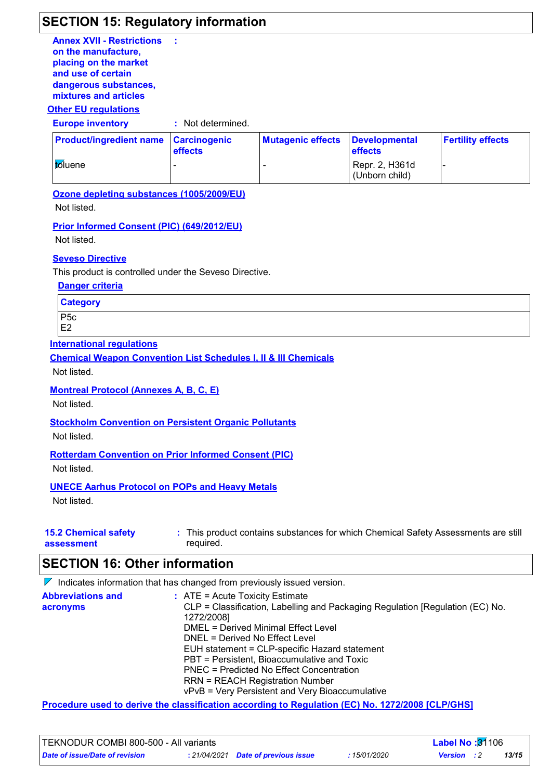### **SECTION 15: Regulatory information**

**Annex XVII - Restrictions on the manufacture, placing on the market and use of certain dangerous substances, mixtures and articles :**

#### **Other EU regulations**

**Europe inventory :** Not determined.

| <b>Product/ingredient name Carcinogenic</b> | <b>effects</b> | Mutagenic effects Developmental | <b>effects</b>                   | <b>Fertility effects</b> |
|---------------------------------------------|----------------|---------------------------------|----------------------------------|--------------------------|
| <i>to</i> luene                             |                |                                 | Repr. 2, H361d<br>(Unborn child) |                          |

**Ozone depleting substances (1005/2009/EU)**

Not listed.

**Prior Informed Consent (PIC) (649/2012/EU)**

Not listed.

#### **Seveso Directive**

This product is controlled under the Seveso Directive.

**Danger criteria**

| <b>Category</b> |
|-----------------|
|-----------------|

P5c E2

**International regulations**

**Chemical Weapon Convention List Schedules I, II & III Chemicals**

Not listed.

#### **Montreal Protocol (Annexes A, B, C, E)**

Not listed.

**Stockholm Convention on Persistent Organic Pollutants**

Not listed.

#### **Rotterdam Convention on Prior Informed Consent (PIC)**

Not listed.

#### **UNECE Aarhus Protocol on POPs and Heavy Metals**

Not listed.

| <b>15.2 Chemical safety</b> | This product contains substances for which Chemical Safety Assessments are still |
|-----------------------------|----------------------------------------------------------------------------------|
| assessment                  | required.                                                                        |

#### **SECTION 16: Other information**

 $\nabla$  Indicates information that has changed from previously issued version.

| <b>Abbreviations and</b> | $:$ ATE = Acute Toxicity Estimate                                                           |
|--------------------------|---------------------------------------------------------------------------------------------|
| acronyms                 | CLP = Classification, Labelling and Packaging Regulation [Regulation (EC) No.<br>1272/2008] |
|                          | DMEL = Derived Minimal Effect Level                                                         |
|                          | DNEL = Derived No Effect Level                                                              |
|                          | EUH statement = CLP-specific Hazard statement                                               |
|                          | PBT = Persistent, Bioaccumulative and Toxic                                                 |
|                          | <b>PNEC = Predicted No Effect Concentration</b>                                             |
|                          | <b>RRN = REACH Registration Number</b>                                                      |
|                          | vPvB = Very Persistent and Very Bioaccumulative                                             |

**Procedure used to derive the classification according to Regulation (EC) No. 1272/2008 [CLP/GHS]**

| <b>TEKNODUR COMBI 800-500 - All variants</b> |  |                                     |              | <b>Label No: <math>31106</math></b> |  |       |
|----------------------------------------------|--|-------------------------------------|--------------|-------------------------------------|--|-------|
| Date of issue/Date of revision               |  | : 21/04/2021 Date of previous issue | : 15/01/2020 | <b>Version</b> : 2                  |  | 13/15 |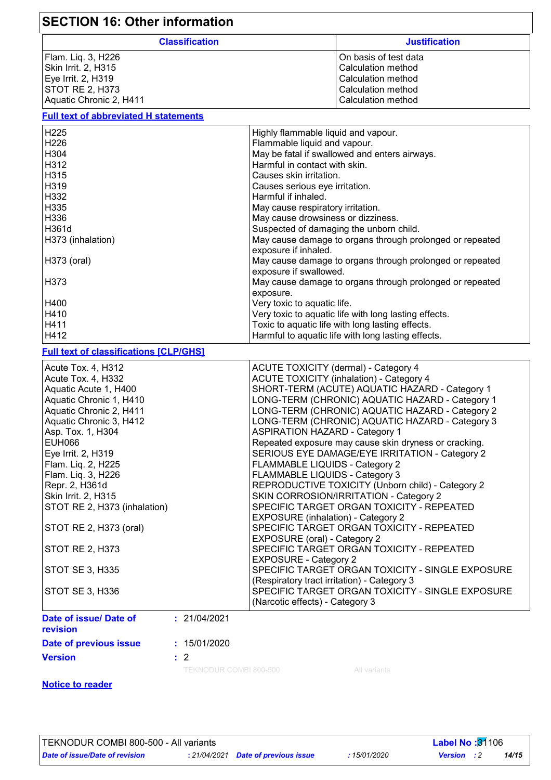| <b>SECTION 16: Other information</b>                                                                                                                                                                                                                                                                                                                                                                                          |                                                                                                                                                                                                                                                                                                                                                                                                                                                                                                                                                                                                                                                                                                                                                                                                                                                                                                                                                                                                                                                                         |                                                                                                                                                                 |  |  |  |
|-------------------------------------------------------------------------------------------------------------------------------------------------------------------------------------------------------------------------------------------------------------------------------------------------------------------------------------------------------------------------------------------------------------------------------|-------------------------------------------------------------------------------------------------------------------------------------------------------------------------------------------------------------------------------------------------------------------------------------------------------------------------------------------------------------------------------------------------------------------------------------------------------------------------------------------------------------------------------------------------------------------------------------------------------------------------------------------------------------------------------------------------------------------------------------------------------------------------------------------------------------------------------------------------------------------------------------------------------------------------------------------------------------------------------------------------------------------------------------------------------------------------|-----------------------------------------------------------------------------------------------------------------------------------------------------------------|--|--|--|
| <b>Classification</b>                                                                                                                                                                                                                                                                                                                                                                                                         |                                                                                                                                                                                                                                                                                                                                                                                                                                                                                                                                                                                                                                                                                                                                                                                                                                                                                                                                                                                                                                                                         | <b>Justification</b>                                                                                                                                            |  |  |  |
| Flam. Liq. 3, H226<br>Skin Irrit. 2, H315<br>Eye Irrit. 2, H319<br><b>STOT RE 2, H373</b><br>Aquatic Chronic 2, H411                                                                                                                                                                                                                                                                                                          |                                                                                                                                                                                                                                                                                                                                                                                                                                                                                                                                                                                                                                                                                                                                                                                                                                                                                                                                                                                                                                                                         | On basis of test data<br><b>Calculation method</b><br>Calculation method<br>Calculation method<br><b>Calculation method</b>                                     |  |  |  |
| <b>Full text of abbreviated H statements</b>                                                                                                                                                                                                                                                                                                                                                                                  |                                                                                                                                                                                                                                                                                                                                                                                                                                                                                                                                                                                                                                                                                                                                                                                                                                                                                                                                                                                                                                                                         |                                                                                                                                                                 |  |  |  |
| H225<br>H226<br>H304<br>H312<br>H315<br>H319<br>H332<br>H335<br>H336<br>H361d<br>H373 (inhalation)<br>H373 (oral)<br>H373                                                                                                                                                                                                                                                                                                     | Highly flammable liquid and vapour.<br>Flammable liquid and vapour.<br>May be fatal if swallowed and enters airways.<br>Harmful in contact with skin.<br>Causes skin irritation.<br>Causes serious eye irritation.<br>Harmful if inhaled.<br>May cause respiratory irritation.<br>May cause drowsiness or dizziness.<br>Suspected of damaging the unborn child.<br>May cause damage to organs through prolonged or repeated<br>exposure if inhaled.<br>May cause damage to organs through prolonged or repeated<br>exposure if swallowed.<br>May cause damage to organs through prolonged or repeated                                                                                                                                                                                                                                                                                                                                                                                                                                                                   |                                                                                                                                                                 |  |  |  |
| H400<br>H410<br>H411<br>H412                                                                                                                                                                                                                                                                                                                                                                                                  | exposure.<br>Very toxic to aquatic life.                                                                                                                                                                                                                                                                                                                                                                                                                                                                                                                                                                                                                                                                                                                                                                                                                                                                                                                                                                                                                                | Very toxic to aquatic life with long lasting effects.<br>Toxic to aquatic life with long lasting effects.<br>Harmful to aquatic life with long lasting effects. |  |  |  |
| <b>Full text of classifications [CLP/GHS]</b>                                                                                                                                                                                                                                                                                                                                                                                 |                                                                                                                                                                                                                                                                                                                                                                                                                                                                                                                                                                                                                                                                                                                                                                                                                                                                                                                                                                                                                                                                         |                                                                                                                                                                 |  |  |  |
| Acute Tox. 4, H312<br>Acute Tox. 4, H332<br>Aquatic Acute 1, H400<br>Aquatic Chronic 1, H410<br>Aquatic Chronic 2, H411<br>Aquatic Chronic 3, H412<br>Asp. Tox. 1, H304<br><b>EUH066</b><br>Eye Irrit. 2, H319<br>Flam. Liq. 2, H225<br>Flam. Liq. 3, H226<br>Repr. 2, H361d<br>Skin Irrit. 2, H315<br>STOT RE 2, H373 (inhalation)<br>STOT RE 2, H373 (oral)<br><b>STOT RE 2, H373</b><br>STOT SE 3, H335<br>STOT SE 3, H336 | <b>ACUTE TOXICITY (dermal) - Category 4</b><br><b>ACUTE TOXICITY (inhalation) - Category 4</b><br>SHORT-TERM (ACUTE) AQUATIC HAZARD - Category 1<br>LONG-TERM (CHRONIC) AQUATIC HAZARD - Category 1<br>LONG-TERM (CHRONIC) AQUATIC HAZARD - Category 2<br>LONG-TERM (CHRONIC) AQUATIC HAZARD - Category 3<br><b>ASPIRATION HAZARD - Category 1</b><br>Repeated exposure may cause skin dryness or cracking.<br>SERIOUS EYE DAMAGE/EYE IRRITATION - Category 2<br>FLAMMABLE LIQUIDS - Category 2<br>FLAMMABLE LIQUIDS - Category 3<br>REPRODUCTIVE TOXICITY (Unborn child) - Category 2<br>SKIN CORROSION/IRRITATION - Category 2<br>SPECIFIC TARGET ORGAN TOXICITY - REPEATED<br>EXPOSURE (inhalation) - Category 2<br>SPECIFIC TARGET ORGAN TOXICITY - REPEATED<br>EXPOSURE (oral) - Category 2<br>SPECIFIC TARGET ORGAN TOXICITY - REPEATED<br><b>EXPOSURE - Category 2</b><br>SPECIFIC TARGET ORGAN TOXICITY - SINGLE EXPOSURE<br>(Respiratory tract irritation) - Category 3<br>SPECIFIC TARGET ORGAN TOXICITY - SINGLE EXPOSURE<br>(Narcotic effects) - Category 3 |                                                                                                                                                                 |  |  |  |
| Date of issue/ Date of<br>: 21/04/2021<br>revision<br>Date of previous issue<br>: 15/01/2020                                                                                                                                                                                                                                                                                                                                  |                                                                                                                                                                                                                                                                                                                                                                                                                                                                                                                                                                                                                                                                                                                                                                                                                                                                                                                                                                                                                                                                         |                                                                                                                                                                 |  |  |  |
| <b>Version</b><br>$\therefore$ 2<br>TEKNODUR COMBI 800-500                                                                                                                                                                                                                                                                                                                                                                    |                                                                                                                                                                                                                                                                                                                                                                                                                                                                                                                                                                                                                                                                                                                                                                                                                                                                                                                                                                                                                                                                         |                                                                                                                                                                 |  |  |  |
| <b>Notice to reader</b>                                                                                                                                                                                                                                                                                                                                                                                                       |                                                                                                                                                                                                                                                                                                                                                                                                                                                                                                                                                                                                                                                                                                                                                                                                                                                                                                                                                                                                                                                                         | All variants                                                                                                                                                    |  |  |  |